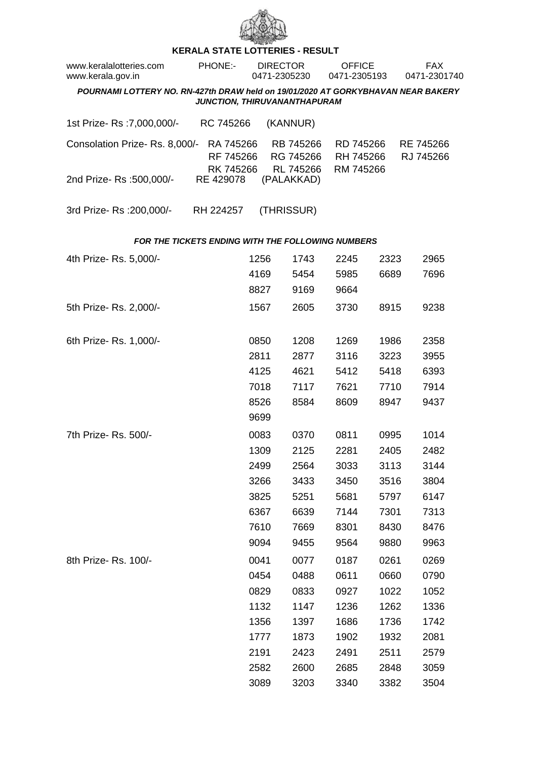

## **KERALA STATE LOTTERIES - RESULT**

| www.keralalotteries.com<br>www.kerala.gov.in                                                                     | <b>PHONE:-</b> |                                     | <b>DIRECTOR</b><br>0471-2305230 |                                     | <b>OFFICE</b><br>0471-2305193       |      | FAX.<br>0471-2301740   |  |  |  |  |  |
|------------------------------------------------------------------------------------------------------------------|----------------|-------------------------------------|---------------------------------|-------------------------------------|-------------------------------------|------|------------------------|--|--|--|--|--|
| POURNAMI LOTTERY NO. RN-427th DRAW held on 19/01/2020 AT GORKYBHAVAN NEAR BAKERY<br>JUNCTION, THIRUVANANTHAPURAM |                |                                     |                                 |                                     |                                     |      |                        |  |  |  |  |  |
| 1st Prize-Rs : 7,000,000/-                                                                                       |                | RC 745266                           |                                 | (KANNUR)                            |                                     |      |                        |  |  |  |  |  |
| Consolation Prize-Rs. 8,000/-                                                                                    |                | RA 745266<br>RF 745266<br>RK 745266 |                                 | RB 745266<br>RG 745266<br>RL 745266 | RD 745266<br>RH 745266<br>RM 745266 |      | RE 745266<br>RJ 745266 |  |  |  |  |  |
| 2nd Prize- Rs :500,000/-                                                                                         |                | RE 429078                           |                                 | (PALAKKAD)                          |                                     |      |                        |  |  |  |  |  |
| 3rd Prize-Rs : 200,000/-                                                                                         |                | RH 224257                           |                                 | (THRISSUR)                          |                                     |      |                        |  |  |  |  |  |
| <b>FOR THE TICKETS ENDING WITH THE FOLLOWING NUMBERS</b>                                                         |                |                                     |                                 |                                     |                                     |      |                        |  |  |  |  |  |
| 4th Prize-Rs. 5,000/-                                                                                            |                |                                     | 1256                            | 1743                                | 2245                                | 2323 | 2965                   |  |  |  |  |  |
|                                                                                                                  |                |                                     | 4169                            | 5454                                | 5985                                | 6689 | 7696                   |  |  |  |  |  |
|                                                                                                                  |                |                                     | 8827                            | 9169                                | 9664                                |      |                        |  |  |  |  |  |
| 5th Prize-Rs. 2,000/-                                                                                            |                |                                     | 1567                            | 2605                                | 3730                                | 8915 | 9238                   |  |  |  |  |  |
| 6th Prize-Rs. 1,000/-                                                                                            |                |                                     | 0850                            | 1208                                | 1269                                | 1986 | 2358                   |  |  |  |  |  |
|                                                                                                                  |                |                                     | 2811                            | 2877                                | 3116                                | 3223 | 3955                   |  |  |  |  |  |
|                                                                                                                  |                |                                     | 4125                            | 4621                                | 5412                                | 5418 | 6393                   |  |  |  |  |  |
|                                                                                                                  |                |                                     | 7018                            | 7117                                | 7621                                | 7710 | 7914                   |  |  |  |  |  |
|                                                                                                                  |                |                                     | 8526<br>9699                    | 8584                                | 8609                                | 8947 | 9437                   |  |  |  |  |  |
| 7th Prize-Rs. 500/-                                                                                              |                |                                     | 0083                            | 0370                                | 0811                                | 0995 | 1014                   |  |  |  |  |  |
|                                                                                                                  |                |                                     | 1309                            | 2125                                | 2281                                | 2405 | 2482                   |  |  |  |  |  |
|                                                                                                                  |                |                                     | 2499                            | 2564                                | 3033                                | 3113 | 3144                   |  |  |  |  |  |
|                                                                                                                  |                |                                     | 3266                            | 3433                                | 3450                                | 3516 | 3804                   |  |  |  |  |  |
|                                                                                                                  |                |                                     | 3825                            | 5251                                | 5681                                | 5797 | 6147                   |  |  |  |  |  |
|                                                                                                                  |                |                                     | 6367                            | 6639                                | 7144                                | 7301 | 7313                   |  |  |  |  |  |
|                                                                                                                  |                |                                     | 7610                            | 7669                                | 8301                                | 8430 | 8476                   |  |  |  |  |  |
|                                                                                                                  |                |                                     | 9094                            | 9455                                | 9564                                | 9880 | 9963                   |  |  |  |  |  |
| 8th Prize-Rs. 100/-                                                                                              |                |                                     | 0041                            | 0077                                | 0187                                | 0261 | 0269                   |  |  |  |  |  |
|                                                                                                                  |                |                                     | 0454                            | 0488                                | 0611                                | 0660 | 0790                   |  |  |  |  |  |
|                                                                                                                  |                |                                     | 0829                            | 0833                                | 0927                                | 1022 | 1052                   |  |  |  |  |  |
|                                                                                                                  |                |                                     | 1132                            | 1147                                | 1236                                | 1262 | 1336                   |  |  |  |  |  |
|                                                                                                                  |                |                                     | 1356                            | 1397                                | 1686                                | 1736 | 1742                   |  |  |  |  |  |
|                                                                                                                  |                |                                     | 1777                            | 1873                                | 1902                                | 1932 | 2081                   |  |  |  |  |  |
|                                                                                                                  |                |                                     | 2191                            | 2423                                | 2491                                | 2511 | 2579                   |  |  |  |  |  |
|                                                                                                                  |                |                                     | 2582                            | 2600                                | 2685                                | 2848 | 3059                   |  |  |  |  |  |
|                                                                                                                  |                |                                     | 3089                            | 3203                                | 3340                                | 3382 | 3504                   |  |  |  |  |  |